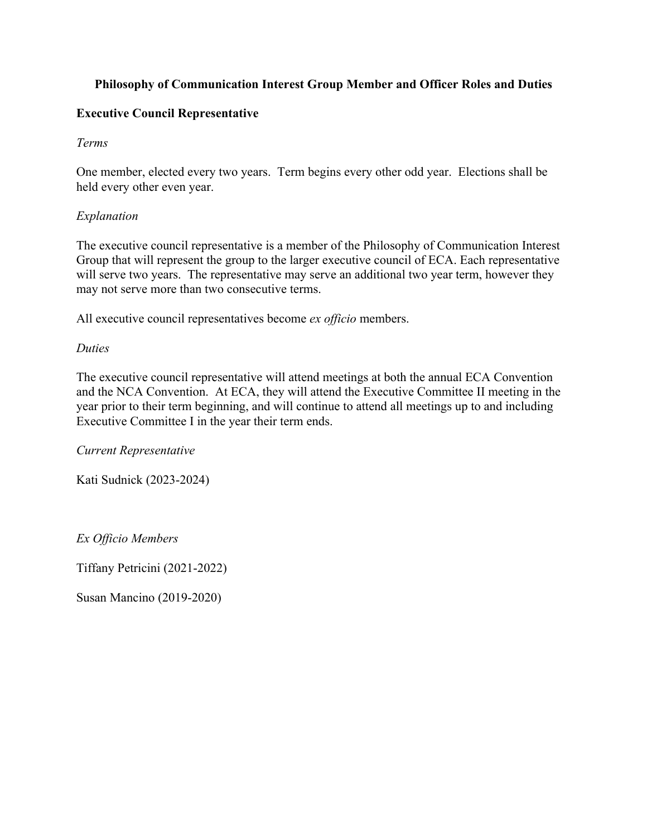# **Philosophy of Communication Interest Group Member and Officer Roles and Duties**

### **Executive Council Representative**

#### *Terms*

One member, elected every two years. Term begins every other odd year. Elections shall be held every other even year.

### *Explanation*

The executive council representative is a member of the Philosophy of Communication Interest Group that will represent the group to the larger executive council of ECA. Each representative will serve two years. The representative may serve an additional two year term, however they may not serve more than two consecutive terms.

All executive council representatives become *ex officio* members.

#### *Duties*

The executive council representative will attend meetings at both the annual ECA Convention and the NCA Convention. At ECA, they will attend the Executive Committee II meeting in the year prior to their term beginning, and will continue to attend all meetings up to and including Executive Committee I in the year their term ends.

*Current Representative*

Kati Sudnick (2023-2024)

*Ex Officio Members*

Tiffany Petricini (2021-2022)

Susan Mancino (2019-2020)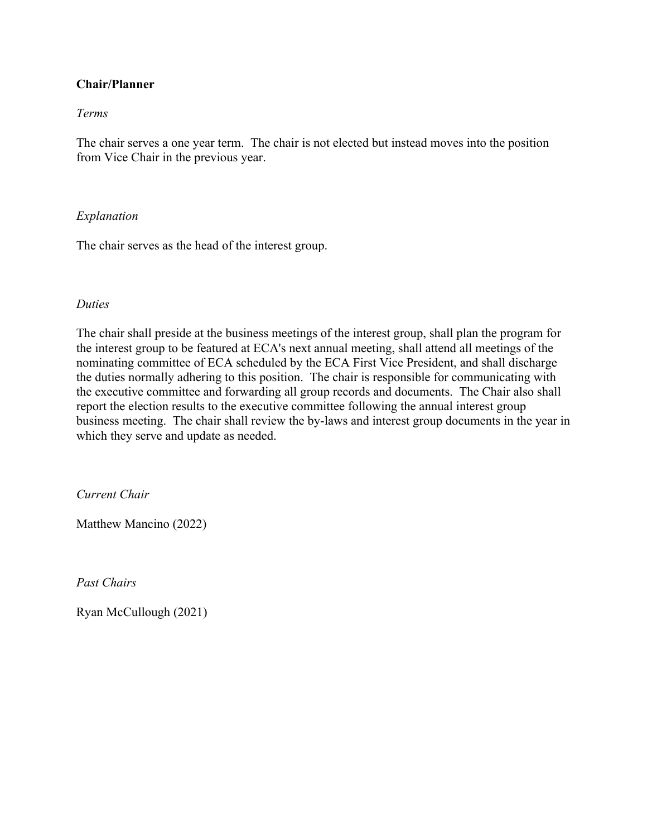### **Chair/Planner**

#### *Terms*

The chair serves a one year term. The chair is not elected but instead moves into the position from Vice Chair in the previous year.

#### *Explanation*

The chair serves as the head of the interest group.

#### *Duties*

The chair shall preside at the business meetings of the interest group, shall plan the program for the interest group to be featured at ECA's next annual meeting, shall attend all meetings of the nominating committee of ECA scheduled by the ECA First Vice President, and shall discharge the duties normally adhering to this position. The chair is responsible for communicating with the executive committee and forwarding all group records and documents. The Chair also shall report the election results to the executive committee following the annual interest group business meeting. The chair shall review the by-laws and interest group documents in the year in which they serve and update as needed.

*Current Chair*

Matthew Mancino (2022)

*Past Chairs*

Ryan McCullough (2021)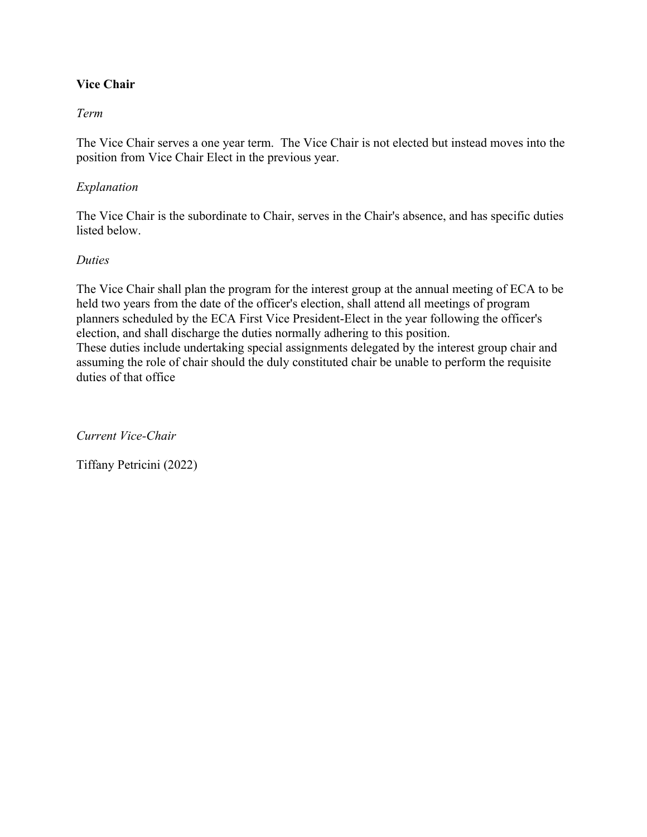# **Vice Chair**

### *Term*

The Vice Chair serves a one year term. The Vice Chair is not elected but instead moves into the position from Vice Chair Elect in the previous year.

### *Explanation*

The Vice Chair is the subordinate to Chair, serves in the Chair's absence, and has specific duties listed below.

#### *Duties*

The Vice Chair shall plan the program for the interest group at the annual meeting of ECA to be held two years from the date of the officer's election, shall attend all meetings of program planners scheduled by the ECA First Vice President-Elect in the year following the officer's election, and shall discharge the duties normally adhering to this position. These duties include undertaking special assignments delegated by the interest group chair and assuming the role of chair should the duly constituted chair be unable to perform the requisite duties of that office

*Current Vice-Chair*

Tiffany Petricini (2022)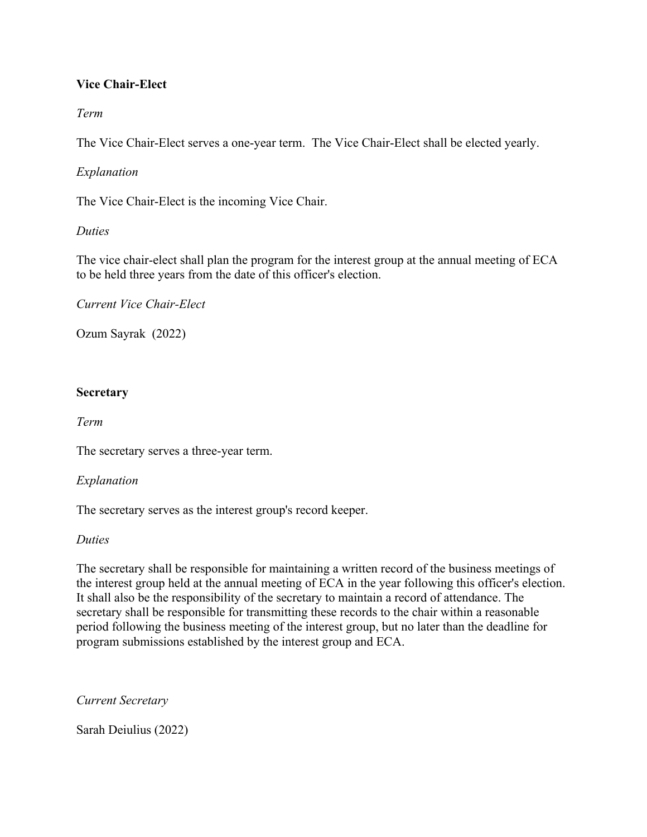# **Vice Chair-Elect**

# *Term*

The Vice Chair-Elect serves a one-year term. The Vice Chair-Elect shall be elected yearly.

# *Explanation*

The Vice Chair-Elect is the incoming Vice Chair.

### *Duties*

The vice chair-elect shall plan the program for the interest group at the annual meeting of ECA to be held three years from the date of this officer's election.

*Current Vice Chair-Elect*

Ozum Sayrak (2022)

### **Secretary**

*Term*

The secretary serves a three-year term.

### *Explanation*

The secretary serves as the interest group's record keeper.

#### *Duties*

The secretary shall be responsible for maintaining a written record of the business meetings of the interest group held at the annual meeting of ECA in the year following this officer's election. It shall also be the responsibility of the secretary to maintain a record of attendance. The secretary shall be responsible for transmitting these records to the chair within a reasonable period following the business meeting of the interest group, but no later than the deadline for program submissions established by the interest group and ECA.

*Current Secretary*

Sarah Deiulius (2022)